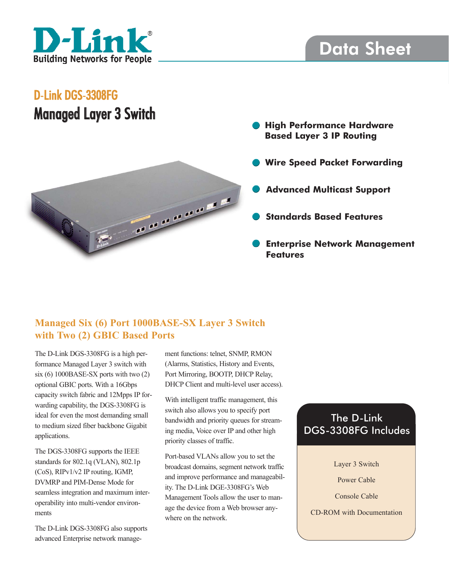

# Data Sheet

## D-Link DGS-3308FG Managed Layer 3 Switch



- **High Performance Hardware Based Layer 3 IP Routing**
- **Wire Speed Packet Forwarding**
- **Advanced Multicast Support**
- **Standards Based Features**
- **Enterprise Network Management Features**

### **Managed Six (6) Port 1000BASE-SX Layer 3 Switch with Two (2) GBIC Based Ports**

The D-Link DGS-3308FG is a high performance Managed Layer 3 switch with six (6) 1000BASE-SX ports with two (2) optional GBIC ports. With a 16Gbps capacity switch fabric and 12Mpps IP forwarding capability, the DGS-3308FG is ideal for even the most demanding small to medium sized fiber backbone Gigabit applications.

The DGS-3308FG supports the IEEE standards for 802.1q (VLAN), 802.1p (CoS), RIPv1/v2 IP routing, IGMP, DVMRP and PIM-Dense Mode for seamless integration and maximum interoperability into multi-vendor environments

The D-Link DGS-3308FG also supports advanced Enterprise network management functions: telnet, SNMP, RMON (Alarms, Statistics, History and Events, Port Mirroring, BOOTP, DHCP Relay, DHCP Client and multi-level user access).

With intelligent traffic management, this switch also allows you to specify port bandwidth and priority queues for streaming media, Voice over IP and other high priority classes of traffic.

Port-based VLANs allow you to set the broadcast domains, segment network traffic and improve performance and manageability. The D-Link DGE-3308FG's Web Management Tools allow the user to manage the device from a Web browser anywhere on the network.

## The D-Link DGS-3308FG Includes

Layer 3 Switch

Power Cable

Console Cable

CD-ROM with Documentation